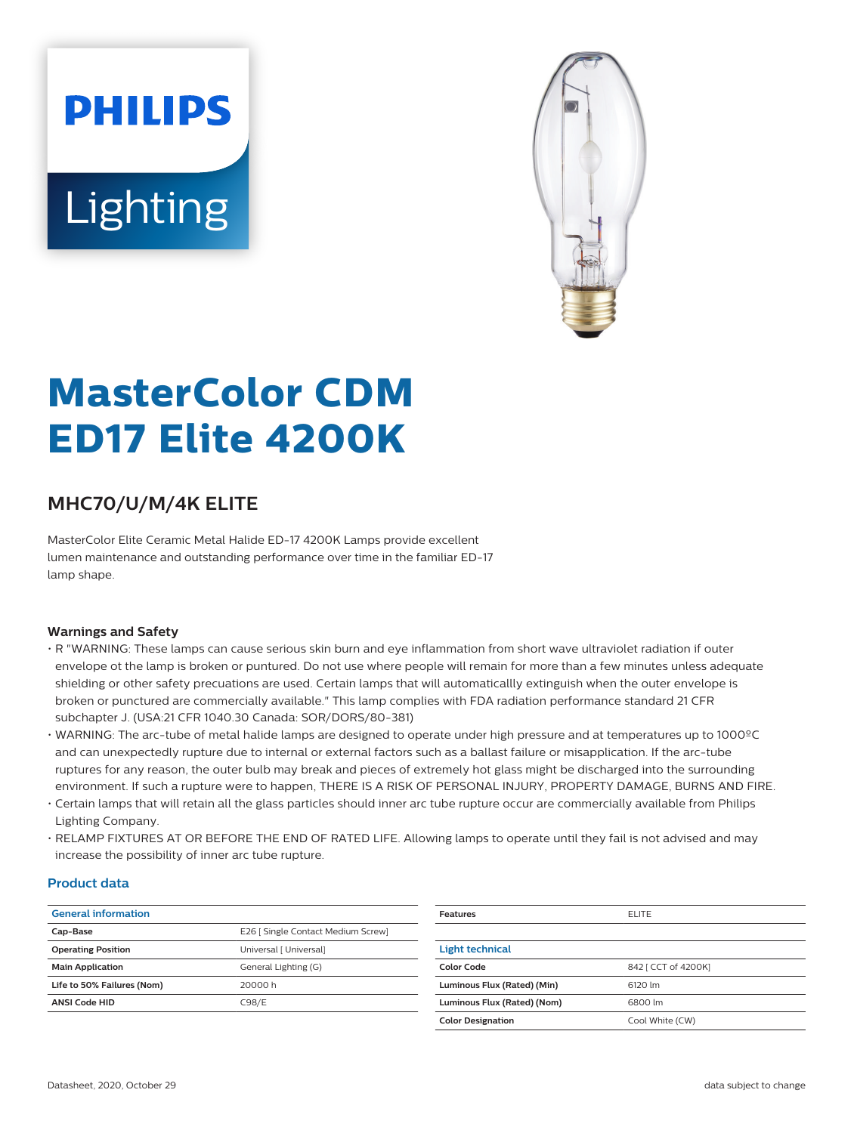# **PHILIPS** Lighting



# **MasterColor CDM ED17 Elite 4200K**

# **MHC70/U/M/4K ELITE**

MasterColor Elite Ceramic Metal Halide ED-17 4200K Lamps provide excellent lumen maintenance and outstanding performance over time in the familiar ED-17 lamp shape.

#### **Warnings and Safety**

- R "WARNING: These lamps can cause serious skin burn and eye inflammation from short wave ultraviolet radiation if outer envelope ot the lamp is broken or puntured. Do not use where people will remain for more than a few minutes unless adequate shielding or other safety precuations are used. Certain lamps that will automaticallly extinguish when the outer envelope is broken or punctured are commercially available." This lamp complies with FDA radiation performance standard 21 CFR subchapter J. (USA:21 CFR 1040.30 Canada: SOR/DORS/80-381)
- WARNING: The arc-tube of metal halide lamps are designed to operate under high pressure and at temperatures up to 1000ºC and can unexpectedly rupture due to internal or external factors such as a ballast failure or misapplication. If the arc-tube ruptures for any reason, the outer bulb may break and pieces of extremely hot glass might be discharged into the surrounding environment. If such a rupture were to happen, THERE IS A RISK OF PERSONAL INJURY, PROPERTY DAMAGE, BURNS AND FIRE.
- Certain lamps that will retain all the glass particles should inner arc tube rupture occur are commercially available from Philips Lighting Company.
- RELAMP FIXTURES AT OR BEFORE THE END OF RATED LIFE. Allowing lamps to operate until they fail is not advised and may increase the possibility of inner arc tube rupture.

#### **Product data**

| <b>General information</b> |                                    | <b>Features</b>             | <b>ELITE</b>        |
|----------------------------|------------------------------------|-----------------------------|---------------------|
| Cap-Base                   | E26   Single Contact Medium Screw] |                             |                     |
| <b>Operating Position</b>  | Universal [ Universal]             | Light technical             |                     |
| <b>Main Application</b>    | General Lighting (G)               | Color Code                  | 842 [ CCT of 4200K] |
| Life to 50% Failures (Nom) | 20000 h                            | Luminous Flux (Rated) (Min) | 6120 lm             |
| <b>ANSI Code HID</b>       | C98/E                              | Luminous Flux (Rated) (Nom) | 6800 lm             |
|                            |                                    | <b>Color Designation</b>    | Cool White (CW)     |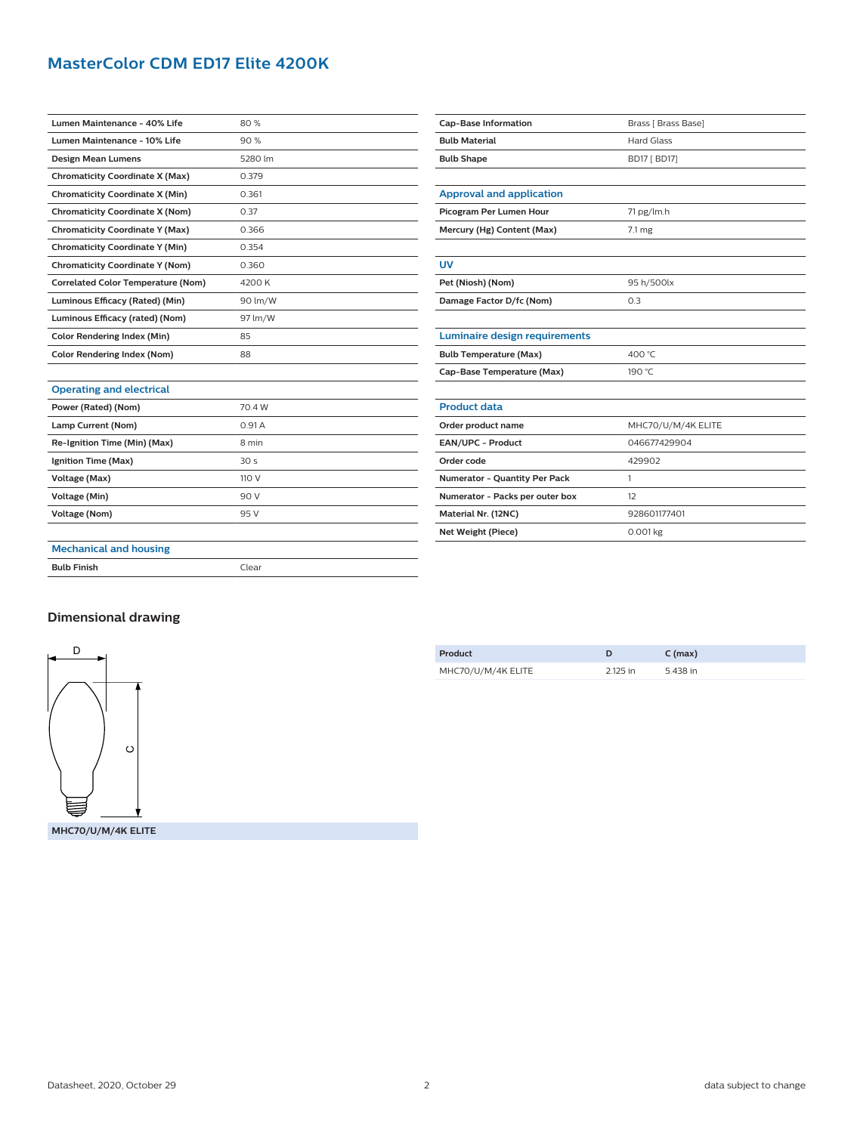# **MasterColor CDM ED17 Elite 4200K**

| <b>Lumen Maintenance - 40% Life</b>       | 80%     |  |
|-------------------------------------------|---------|--|
| Lumen Maintenance - 10% Life              | 90%     |  |
| Design Mean Lumens                        | 5280 lm |  |
| <b>Chromaticity Coordinate X (Max)</b>    | 0.379   |  |
| <b>Chromaticity Coordinate X (Min)</b>    | 0.361   |  |
| <b>Chromaticity Coordinate X (Nom)</b>    | 0.37    |  |
| <b>Chromaticity Coordinate Y (Max)</b>    | 0.366   |  |
| <b>Chromaticity Coordinate Y (Min)</b>    | 0.354   |  |
| <b>Chromaticity Coordinate Y (Nom)</b>    | 0.360   |  |
| <b>Correlated Color Temperature (Nom)</b> | 4200 K  |  |
| Luminous Efficacy (Rated) (Min)           | 90 lm/W |  |
| Luminous Efficacy (rated) (Nom)           | 97 lm/W |  |
| <b>Color Rendering Index (Min)</b>        | 85      |  |
| <b>Color Rendering Index (Nom)</b>        | 88      |  |
|                                           |         |  |

| <b>Bulb Material</b>            | <b>Hard Glass</b>  |  |
|---------------------------------|--------------------|--|
| <b>Bulb Shape</b>               | BD17 [ BD17]       |  |
|                                 |                    |  |
| <b>Approval and application</b> |                    |  |
| Picogram Per Lumen Hour         | 71 pg/lm.h         |  |
| Mercury (Hg) Content (Max)      | $7.1 \, \text{mg}$ |  |
|                                 |                    |  |
| UV                              |                    |  |
| Pet (Niosh) (Nom)               | 95 h/500lx         |  |
| Damage Factor D/fc (Nom)        | 0.3                |  |
|                                 |                    |  |
| Luminaire design requirements   |                    |  |
| <b>Bulb Temperature (Max)</b>   | 400 °C             |  |
| Cap-Base Temperature (Max)      | 190 °C             |  |
|                                 |                    |  |
| <b>Product data</b>             |                    |  |
| Order product name              | MHC70/U/M/4K ELITE |  |
| EAN/UPC - Product               | 046677429904       |  |
| Order code                      | 429902             |  |
| Numerator - Quantity Per Pack   | 1                  |  |
| Numerator - Packs per outer box | 12                 |  |
| Material Nr. (12NC)             | 928601177401       |  |
| Net Weight (Piece)              | 0.001 kg           |  |

Cap-Base Information **Brass** [ Brass Base]

## **Mechanical and housing**

**Operating and electrical**

**Power (Rated) (Nom)** 70.4 W **Lamp Current (Nom)** 0.91 A **Re-Ignition Time (Min) (Max)** 8 min **Ignition Time (Max)** 30 s **Voltage (Max)** 110 V **Voltage (Min)** 90 V **Voltage (Nom)** 95 V

|--|

### **Dimensional drawing**



| Product            |          | $C$ (max) |
|--------------------|----------|-----------|
| MHC70/U/M/4K ELITE | 2.125 in | 5.438 in  |